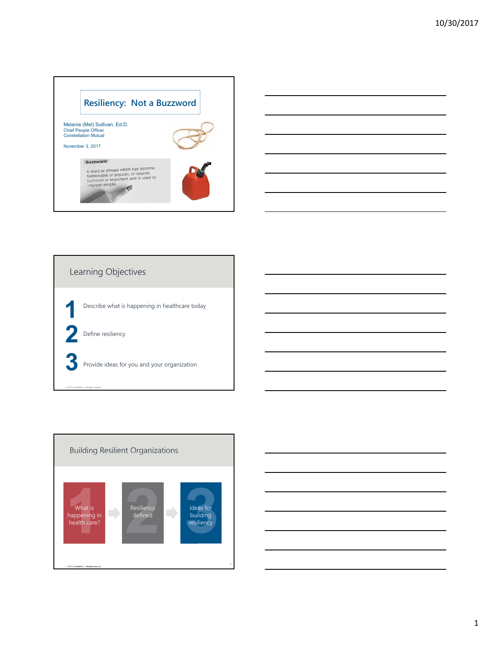







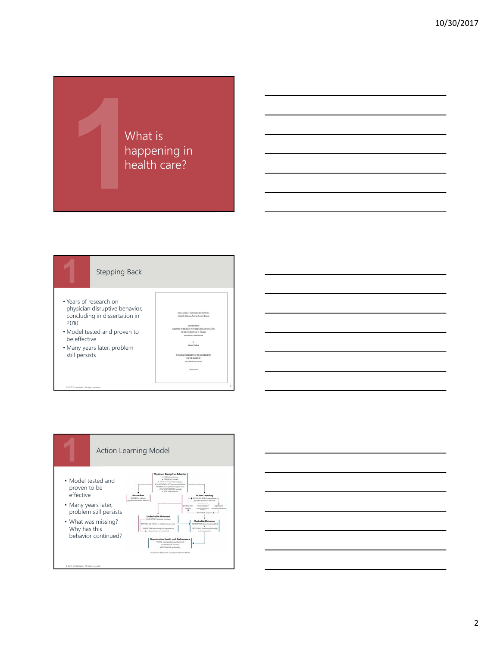





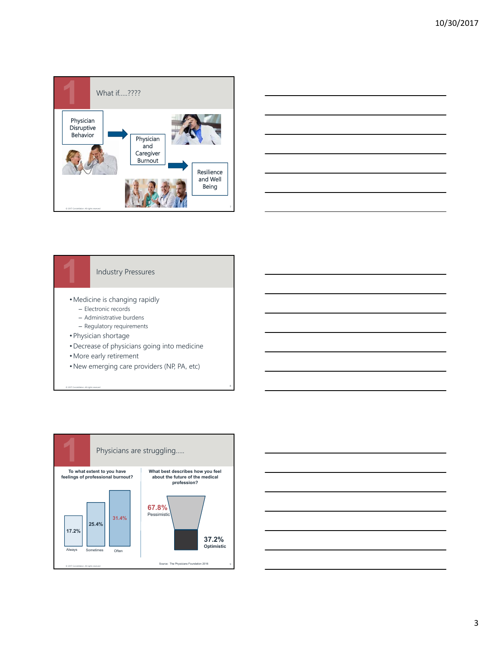



# Industry Pressures

- •Medicine is changing rapidly
	- Electronic records
	- Administrative burdens
	- Regulatory requirements
- Physician shortage

© 2017 Constellation. All rights reserved

- •Decrease of physicians going into medicine
- •More early retirement
- •New emerging care providers (NP, PA, etc)



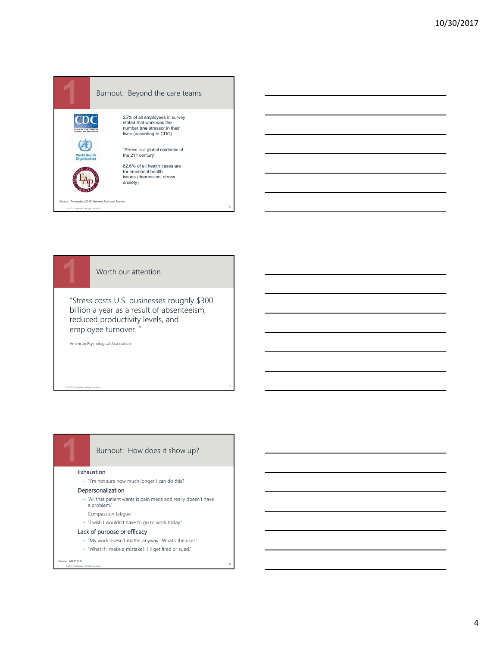

Worth our attention

"Stress costs U.S. businesses roughly \$300 billion a year as a result of absenteeism, reduced productivity levels, and employee turnover. "

11

American Psychological Association

© 2017 Constellation. All rights reserved

## Burnout: How does it show up?

#### Exhaustion

- "I'm not sure how much longer I can do this?

#### Depersonalization

- "All that patient wants is pain meds and really doesn't have a problem."
- Compassion fatigue
- "I wish I wouldn't have to go to work today."

#### Lack of purpose or efficacy

- "My work doesn't matter anyway. What's the use?"
- "What if I make a mistake? I'll get fired or sued."

#### Source: AAFP 2017

© 2017 Constellation. All rights reserved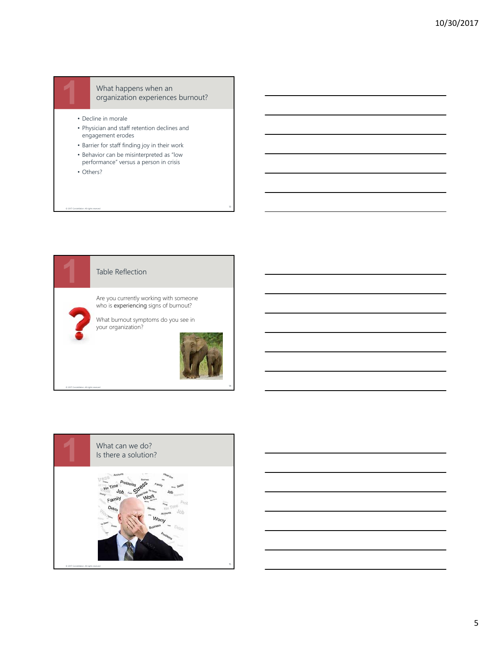

#### What happens when an organization experiences burnout?

- Decline in morale
- Physician and staff retention declines and engagement erodes
- Barrier for staff finding joy in their work
- **72%**  performance" versus a person in crisis • Behavior can be misinterpreted as "low
- Others?

© 2017 Constellation. All rights reserved

© 2017 Constellation. All rights reserved

## Table Reflection

Are you currently working with someone who is experiencing signs of burnout?

What burnout symptoms do you see in your organization?





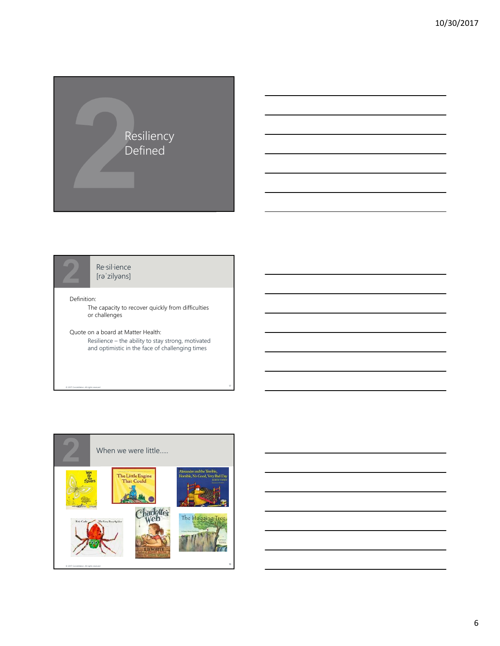



Re·sil·ience [rəˈzilyəns]

#### Definition:

© 2017 Constellation. All rights reserved

The capacity to recover quickly from difficulties or challenges

Quote on a board at Matter Health: Resilience – the ability to stay strong, motivated and optimistic in the face of challenging times



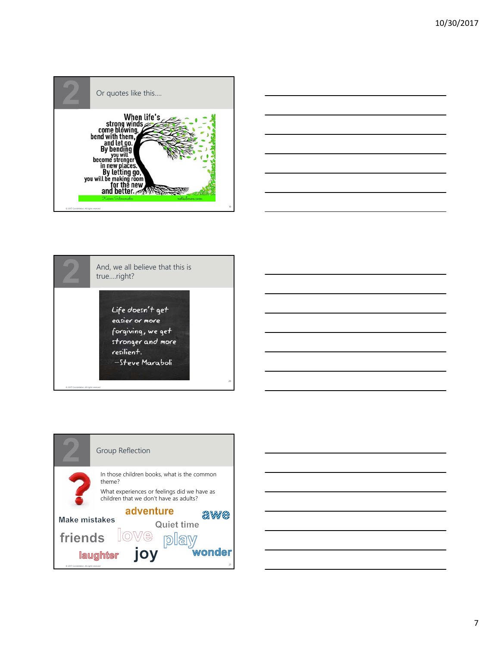







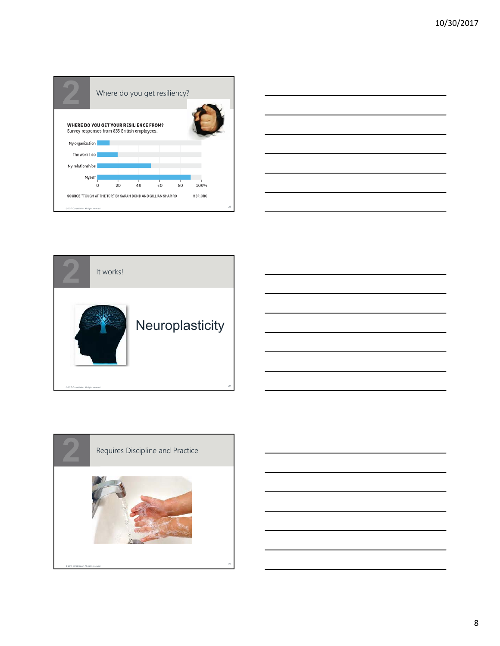





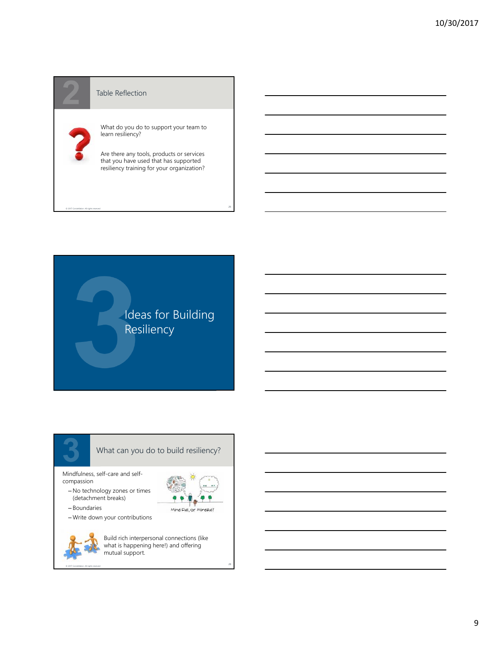#### Table Reflection

© 2017 Constellation. All rights reserved

© 2017 Constellation. All rights reserved

What do you do to support your team to learn resiliency?

Are there any tools, products or services that you have used that has supported resiliency training for your organization?

26



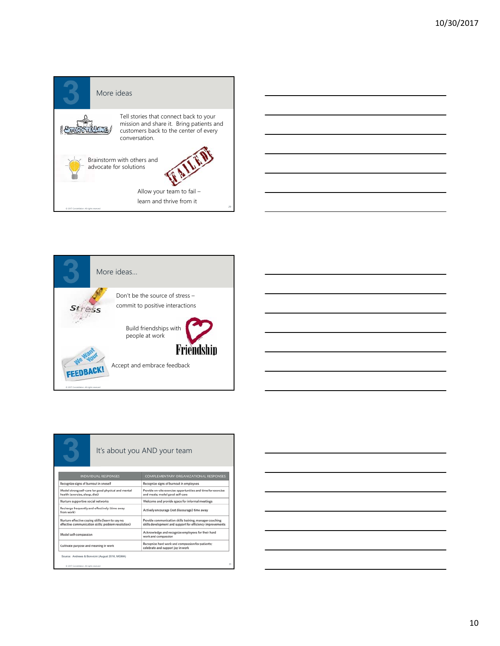





|                                                                                                          |                                                 | It's about you AND your team                                                                                          |    |
|----------------------------------------------------------------------------------------------------------|-------------------------------------------------|-----------------------------------------------------------------------------------------------------------------------|----|
| <b>INDIVIDUAL RESPONSES</b>                                                                              |                                                 | <b>COMPLEMENTARY ORGANIZATIONAL RESPONSES</b>                                                                         |    |
| Recognize signs of burnout in oneself                                                                    |                                                 | Recognize signs of burnout in employees                                                                               |    |
| Model strong self-care for good physical and mental<br>health (exercise, sleep, diet)                    |                                                 | Provide on-site exercise opportunities and time for exercise<br>and meals; model good self-care                       |    |
| Nurture supportive social networks                                                                       |                                                 | Welcome and provide space for informal meetings                                                                       |    |
| Recharge frequently and effectively (time away<br>from work)                                             |                                                 | Actively encourage (not discourage) time away                                                                         |    |
| Nurture effective coping skills (learn to say no:<br>effective communication skills; problem resolution) |                                                 | Provide communication skills training, manager coaching<br>skills development and support for efficiency improvements |    |
| Model self-compassion                                                                                    |                                                 | Acknowledge and recognize employees for their hard<br>work and compassion                                             |    |
| Cultivate purpose and meaning in work                                                                    |                                                 | Recognize hard work and compassion for patients:<br>celebrate and support joy in work                                 |    |
|                                                                                                          | Source: Andrews & Bonvicini (August 2016, MGMA) |                                                                                                                       |    |
| C 2017 Constellation, All rights reserved                                                                |                                                 |                                                                                                                       | 31 |

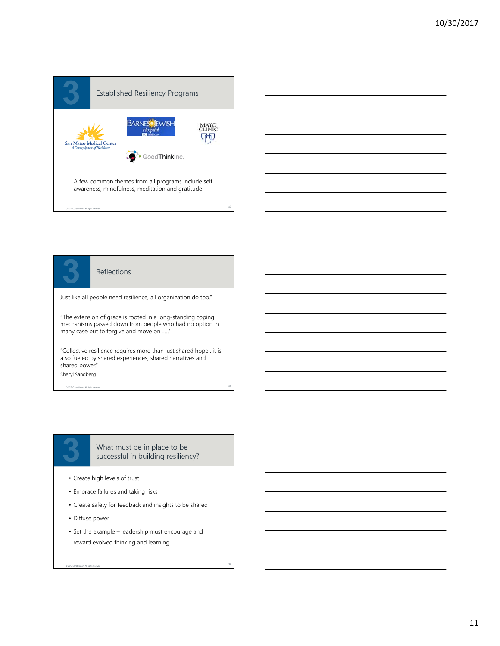



#### Reflections

Just like all people need resilience, all organization do too."

"The extension of grace is rooted in a long-standing coping mechanisms passed down from people who had no option in many case but to forgive and move on......

"Collective resilience requires more than just shared hope…it is also fueled by shared experiences, shared narratives and shared power."

© 2017 Constellation. All rights reserved Sheryl Sandberg



What must be in place to be successful in building resiliency?

- Create high levels of trust
- Embrace failures and taking risks
- Create safety for feedback and insights to be shared
- Diffuse power

© 2017 Constellation. All rights reserved

• Set the example – leadership must encourage and reward evolved thinking and learning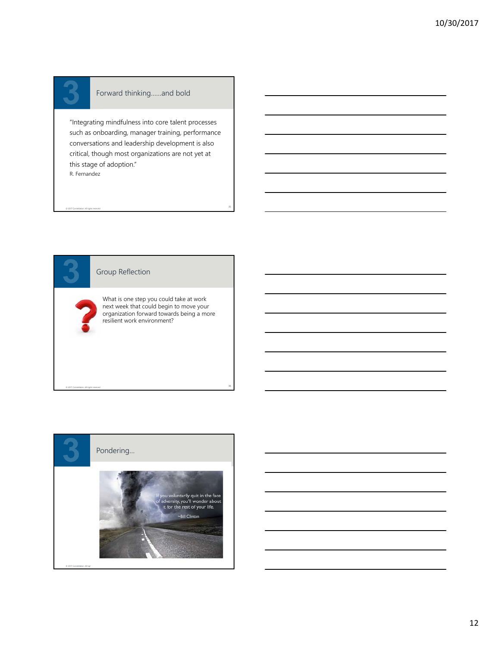© 2017 Constellation. All rights reserved

© 2017 Constellation. All rights reserved

### Forward thinking……and bold

"Integrating mindfulness into core talent processes such as onboarding, manager training, performance conversations and leadership development is also critical, though most organizations are not yet at this stage of adoption." R. Fernandez

#### Group Reflection

What is one step you could take at work next week that could begin to move your organization forward towards being a more resilient work environment?

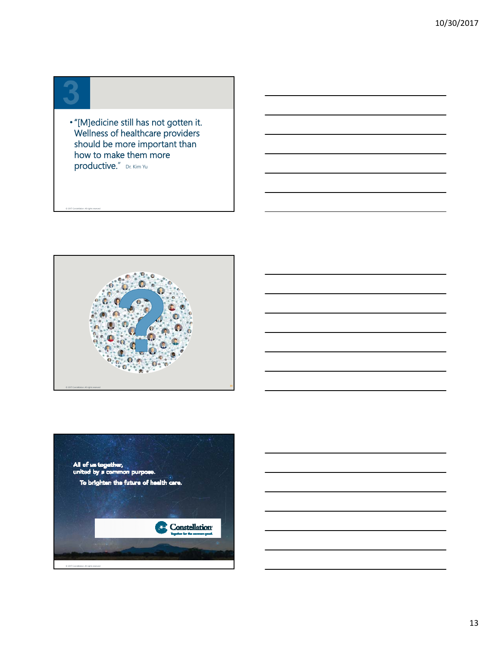© 2017 Constellation. All rights reserved

•"[M]edicine still has not gotten it. Wellness of healthcare providers should be more important than how to make them more productive." Dr. Kim Yu



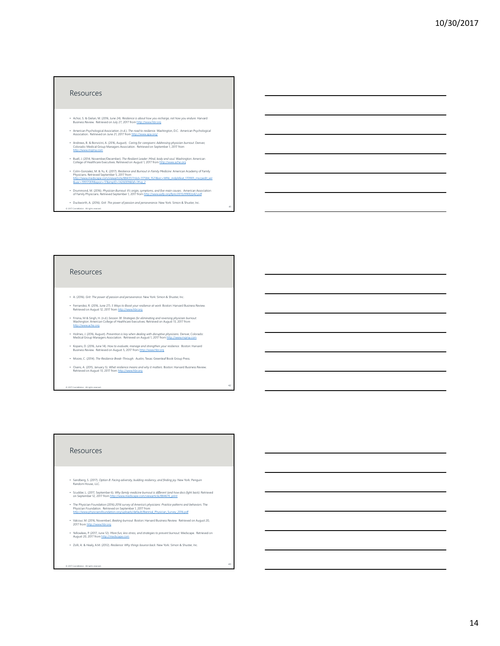#### **Resources**

- Achor, S. & Gielan, M. (2016, June 24). *Resilience is about how you recharge, not how you endure.* Harvard<br>Business Review. Retrieved on July 27, 2017 from http://www.hbr.org
- American Psychological Association. (n.d.). *The road to resilience.* Washington, D.C. American Psychological Association. Retrieved on June 21, 2017 from http://www.apa.org/
- Andrews, B. & Bonvicini, A. (2016, August). *Caring for caregivers: Addressing physician burnout.* Denver, Colorado: Medical Group Managers Association. Retrieved on September 1, 2017 from http://www.mgma.com
- Buell, J. (2014, November/December). *The Resilient Leader: Mind, body and soul.* Washington: American College of Healthcare Executives. Retrieved on August 1, 2017 from http://www.ache.org
- Colin-Gonzalez, M. & Yu, K. (2017). Resile*nce and Burnout in Family Medicine.* American Academy of Family<br>Physicians. Retrieved September 5, 2017 from<br>htt<u>p://www.medicape.com/viewarticle/RB43517hile=117584 1521&erc=WNI</u>
- Drummond, M. (2016). *Physician Burnout: It's origin, symptoms, and five main causes*. American Association of Family Physicians. Retrieved September 1, 2017 from http://www.aafp.org/fpm/2015/0900/p42.pdf
- Duckworth, A. (2016). *Grit: The power of passion and perseverance.* New York: Simon & Shuster, Inc.

#### Resources

© 2017 Constellation. All rights reserved.

- A. (2016). *Grit: The power of passion and perseverance.* New York: Simon & Shuster, Inc.
- Fernandez, R. (2016, June 27). *5 Ways to Boost your resilience at work.* Boston: Harvard Business Review. Retrieved on August 12, 2017 from http://www.hbr.org
- Frisina, M & Singh, H. (n.d.) *Session 18: Strategies for eliminating and reversing physician burnout.*  Washington: American College of Healthcare Executives. Retrieved on August 13, 2017 from http://www.ache.org
- Holmes, J. (2016, August). *Prevention is key when dealing with disruptive physicians.* Denver, Colorado: Medical Group Managers Association. Retrieved on August 1, 2017 from http://www.mgma.com
- Kopans, D. (2016, June 14). *How to evaluate, manage and strengthen your resilience.* Boston: Harvard Business Review. Retrieved on August 5, 2017 from http://www.hbr.org
- Moore, C. (2014). *The Resilience Break-Through.* Austin, Texas: Greenleaf Book Group Press.
- Ovans, A. (2015, January 5). *What resilience means and why it matters.* Boston: Harvard Business Review. Retrieved on August 13, 2017 from http://www.hbr.org

42

© 2017 Constellation. All rights reserved.

#### Resources

- Sandberg, S. (2017). *Option B: Facing adversity, building resiliency, and finding joy.* New York: Penguin Random House, LLC.
- Scudder, L. (2017, September 6). *Why family medicine burnout is different (and how docs fight back).* Retrieved<br>on September 12, 2017 from <u>http://www.medscape.com/viewarticle/884670\_print</u>
- The Physician Foundation (2016) *2016 survey of America's physicians: Practice patterns and behaviors.* The<br>Physician Foundation. Retrieved on September 1, 2017 from<br>http://www.physiciansfoundation.org/uploads/default/Bi
- Valcour, M. (2016, November). *Beating burnout.* Boston: Harvard Business Review. Retrieved on August 20, 2017 from http://www.hbr.org
- Yellowlees, P. (2017, June 12). *More fun, less stress, and strategies to prevent burnout.* Medscape. Retrieved on August 20, 2017 from http://medscape.com
- Zolli, A. & Healy, A.M. (2012). *Resilience: Why things bounce back.* New York: Simon & Shuster, Inc.

#### 2017 Constellation. All rights rese